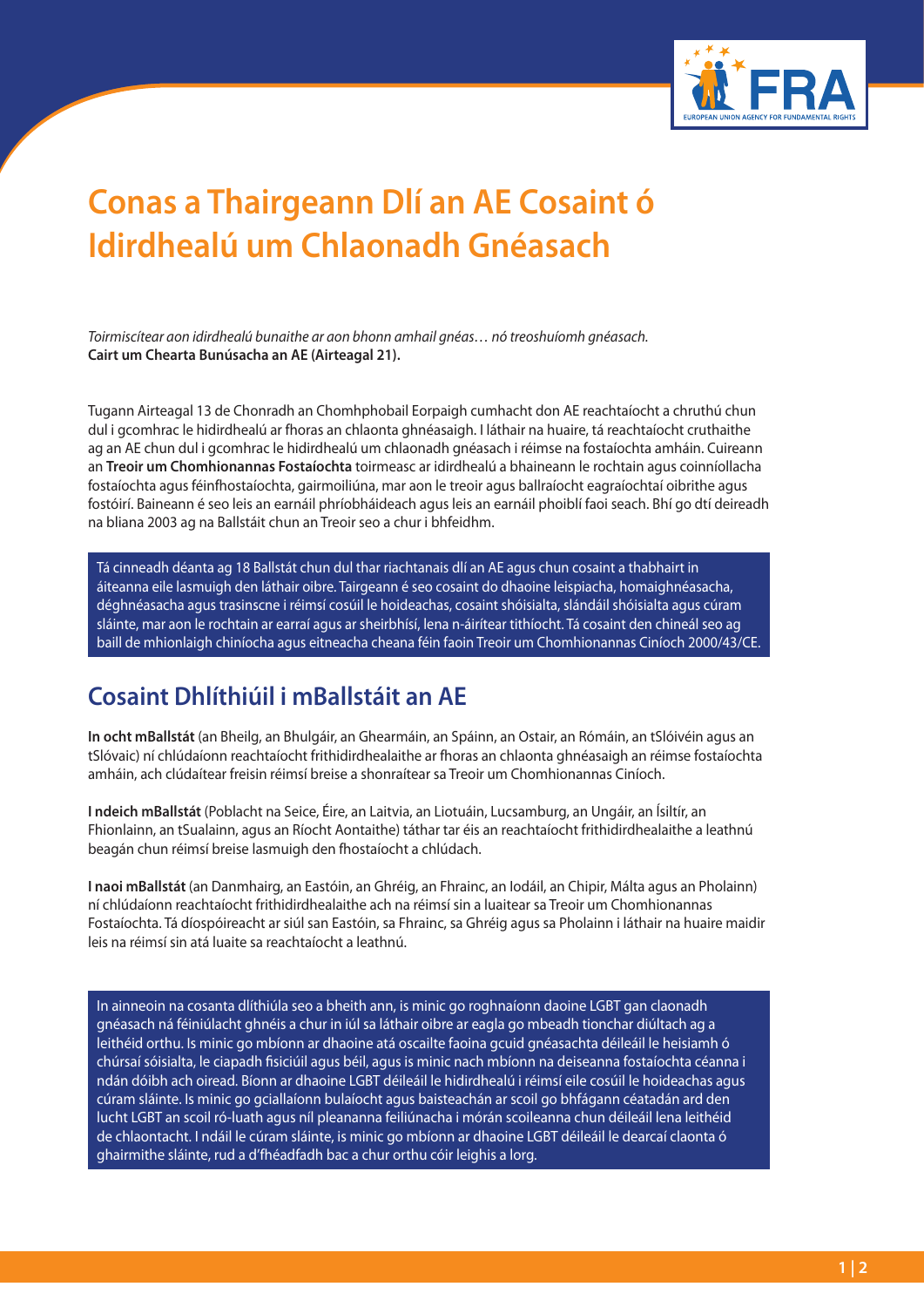

## **Conas a Thairgeann Dlí an AE Cosaint ó Idirdhealú um Chlaonadh Gnéasach**

*Toirmiscítear aon idirdhealú bunaithe ar aon bhonn amhail gnéas… nó treoshuíomh gnéasach.*  **Cairt um Chearta Bunúsacha an AE (Airteagal 21).**

Tugann Airteagal 13 de Chonradh an Chomhphobail Eorpaigh cumhacht don AE reachtaíocht a chruthú chun dul i gcomhrac le hidirdhealú ar fhoras an chlaonta ghnéasaigh. I láthair na huaire, tá reachtaíocht cruthaithe ag an AE chun dul i gcomhrac le hidirdhealú um chlaonadh gnéasach i réimse na fostaíochta amháin. Cuireann an **Treoir um Chomhionannas Fostaíochta** toirmeasc ar idirdhealú a bhaineann le rochtain agus coinníollacha fostaíochta agus féinfhostaíochta, gairmoiliúna, mar aon le treoir agus ballraíocht eagraíochtaí oibrithe agus fostóirí. Baineann é seo leis an earnáil phríobháideach agus leis an earnáil phoiblí faoi seach. Bhí go dtí deireadh na bliana 2003 ag na Ballstáit chun an Treoir seo a chur i bhfeidhm.

Tá cinneadh déanta ag 18 Ballstát chun dul thar riachtanais dlí an AE agus chun cosaint a thabhairt in áiteanna eile lasmuigh den láthair oibre. Tairgeann é seo cosaint do dhaoine leispiacha, homaighnéasacha, déghnéasacha agus trasinscne i réimsí cosúil le hoideachas, cosaint shóisialta, slándáil shóisialta agus cúram sláinte, mar aon le rochtain ar earraí agus ar sheirbhísí, lena n-áirítear tithíocht. Tá cosaint den chineál seo ag baill de mhionlaigh chiníocha agus eitneacha cheana féin faoin Treoir um Chomhionannas Ciníoch 2000/43/CE.

## **Cosaint Dhlíthiúil i mBallstáit an AE**

**In ocht mBallstát** (an Bheilg, an Bhulgáir, an Ghearmáin, an Spáinn, an Ostair, an Rómáin, an tSlóivéin agus an tSlóvaic) ní chlúdaíonn reachtaíocht frithidirdhealaithe ar fhoras an chlaonta ghnéasaigh an réimse fostaíochta amháin, ach clúdaítear freisin réimsí breise a shonraítear sa Treoir um Chomhionannas Ciníoch.

**I ndeich mBallstát** (Poblacht na Seice, Éire, an Laitvia, an Liotuáin, Lucsamburg, an Ungáir, an Ísiltír, an Fhionlainn, an tSualainn, agus an Ríocht Aontaithe) táthar tar éis an reachtaíocht frithidirdhealaithe a leathnú beagán chun réimsí breise lasmuigh den fhostaíocht a chlúdach.

**I naoi mBallstát** (an Danmhairg, an Eastóin, an Ghréig, an Fhrainc, an Iodáil, an Chipir, Málta agus an Pholainn) ní chlúdaíonn reachtaíocht frithidirdhealaithe ach na réimsí sin a luaitear sa Treoir um Chomhionannas Fostaíochta. Tá díospóireacht ar siúl san Eastóin, sa Fhrainc, sa Ghréig agus sa Pholainn i láthair na huaire maidir leis na réimsí sin atá luaite sa reachtaíocht a leathnú.

In ainneoin na cosanta dlíthiúla seo a bheith ann, is minic go roghnaíonn daoine LGBT gan claonadh gnéasach ná féiniúlacht ghnéis a chur in iúl sa láthair oibre ar eagla go mbeadh tionchar diúltach ag a leithéid orthu. Is minic go mbíonn ar dhaoine atá oscailte faoina gcuid gnéasachta déileáil le heisiamh ó chúrsaí sóisialta, le ciapadh fisiciúil agus béil, agus is minic nach mbíonn na deiseanna fostaíochta céanna i ndán dóibh ach oiread. Bíonn ar dhaoine LGBT déileáil le hidirdhealú i réimsí eile cosúil le hoideachas agus cúram sláinte. Is minic go gciallaíonn bulaíocht agus baisteachán ar scoil go bhfágann céatadán ard den lucht LGBT an scoil ró-luath agus níl pleananna feiliúnacha i mórán scoileanna chun déileáil lena leithéid de chlaontacht. I ndáil le cúram sláinte, is minic go mbíonn ar dhaoine LGBT déileáil le dearcaí claonta ó ghairmithe sláinte, rud a d'fhéadfadh bac a chur orthu cóir leighis a lorg.